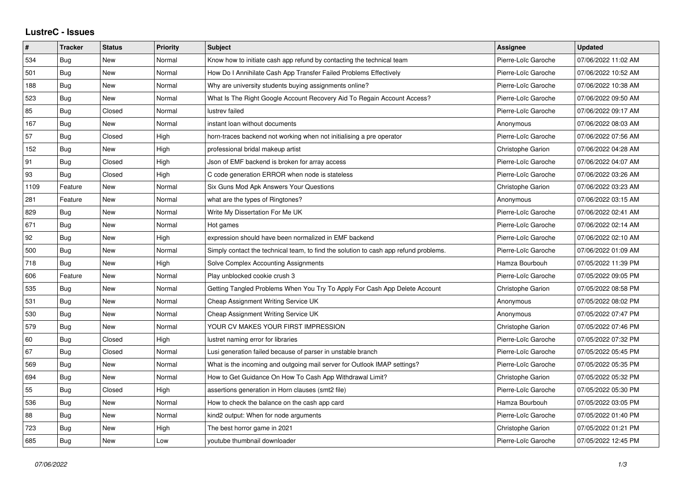## **LustreC - Issues**

| $\sharp$ | <b>Tracker</b> | <b>Status</b> | <b>Priority</b> | <b>Subject</b>                                                                       | <b>Assignee</b>          | <b>Updated</b>      |
|----------|----------------|---------------|-----------------|--------------------------------------------------------------------------------------|--------------------------|---------------------|
| 534      | Bug            | <b>New</b>    | Normal          | Know how to initiate cash app refund by contacting the technical team                | Pierre-Loïc Garoche      | 07/06/2022 11:02 AM |
| 501      | Bug            | <b>New</b>    | Normal          | How Do I Annihilate Cash App Transfer Failed Problems Effectively                    | Pierre-Loïc Garoche      | 07/06/2022 10:52 AM |
| 188      | <b>Bug</b>     | <b>New</b>    | Normal          | Why are university students buying assignments online?                               | Pierre-Loïc Garoche      | 07/06/2022 10:38 AM |
| 523      | <b>Bug</b>     | <b>New</b>    | Normal          | What Is The Right Google Account Recovery Aid To Regain Account Access?              | Pierre-Loïc Garoche      | 07/06/2022 09:50 AM |
| 85       | Bug            | Closed        | Normal          | lustrev failed                                                                       | Pierre-Loïc Garoche      | 07/06/2022 09:17 AM |
| 167      | Bug            | New           | Normal          | instant loan without documents                                                       | Anonymous                | 07/06/2022 08:03 AM |
| 57       | Bug            | Closed        | High            | horn-traces backend not working when not initialising a pre operator                 | Pierre-Loïc Garoche      | 07/06/2022 07:56 AM |
| 152      | Bug            | <b>New</b>    | High            | professional bridal makeup artist                                                    | Christophe Garion        | 07/06/2022 04:28 AM |
| 91       | Bug            | Closed        | High            | Json of EMF backend is broken for array access                                       | Pierre-Loïc Garoche      | 07/06/2022 04:07 AM |
| 93       | Bug            | Closed        | High            | C code generation ERROR when node is stateless                                       | Pierre-Loïc Garoche      | 07/06/2022 03:26 AM |
| 1109     | Feature        | <b>New</b>    | Normal          | Six Guns Mod Apk Answers Your Questions                                              | Christophe Garion        | 07/06/2022 03:23 AM |
| 281      | Feature        | <b>New</b>    | Normal          | what are the types of Ringtones?                                                     | Anonymous                | 07/06/2022 03:15 AM |
| 829      | Bug            | <b>New</b>    | Normal          | Write My Dissertation For Me UK                                                      | Pierre-Loïc Garoche      | 07/06/2022 02:41 AM |
| 671      | Bug            | <b>New</b>    | Normal          | Hot games                                                                            | Pierre-Loïc Garoche      | 07/06/2022 02:14 AM |
| 92       | Bug            | <b>New</b>    | High            | expression should have been normalized in EMF backend                                | Pierre-Loïc Garoche      | 07/06/2022 02:10 AM |
| 500      | Bug            | <b>New</b>    | Normal          | Simply contact the technical team, to find the solution to cash app refund problems. | Pierre-Loïc Garoche      | 07/06/2022 01:09 AM |
| 718      | Bug            | <b>New</b>    | High            | Solve Complex Accounting Assignments                                                 | Hamza Bourbouh           | 07/05/2022 11:39 PM |
| 606      | Feature        | <b>New</b>    | Normal          | Play unblocked cookie crush 3                                                        | Pierre-Loïc Garoche      | 07/05/2022 09:05 PM |
| 535      | Bug            | <b>New</b>    | Normal          | Getting Tangled Problems When You Try To Apply For Cash App Delete Account           | Christophe Garion        | 07/05/2022 08:58 PM |
| 531      | Bug            | <b>New</b>    | Normal          | Cheap Assignment Writing Service UK                                                  | Anonymous                | 07/05/2022 08:02 PM |
| 530      | Bug            | <b>New</b>    | Normal          | Cheap Assignment Writing Service UK                                                  | Anonymous                | 07/05/2022 07:47 PM |
| 579      | <b>Bug</b>     | <b>New</b>    | Normal          | YOUR CV MAKES YOUR FIRST IMPRESSION                                                  | Christophe Garion        | 07/05/2022 07:46 PM |
| 60       | Bug            | Closed        | High            | lustret naming error for libraries                                                   | Pierre-Loïc Garoche      | 07/05/2022 07:32 PM |
| 67       | Bug            | Closed        | Normal          | Lusi generation failed because of parser in unstable branch                          | Pierre-Loïc Garoche      | 07/05/2022 05:45 PM |
| 569      | Bug            | <b>New</b>    | Normal          | What is the incoming and outgoing mail server for Outlook IMAP settings?             | Pierre-Loïc Garoche      | 07/05/2022 05:35 PM |
| 694      | Bug            | <b>New</b>    | Normal          | How to Get Guidance On How To Cash App Withdrawal Limit?                             | Christophe Garion        | 07/05/2022 05:32 PM |
| 55       | Bug            | Closed        | High            | assertions generation in Horn clauses (smt2 file)                                    | Pierre-Loïc Garoche      | 07/05/2022 05:30 PM |
| 536      | Bug            | <b>New</b>    | Normal          | How to check the balance on the cash app card                                        | Hamza Bourbouh           | 07/05/2022 03:05 PM |
| 88       | <b>Bug</b>     | <b>New</b>    | Normal          | kind2 output: When for node arguments                                                | Pierre-Loïc Garoche      | 07/05/2022 01:40 PM |
| 723      | Bug            | <b>New</b>    | High            | The best horror game in 2021                                                         | <b>Christophe Garion</b> | 07/05/2022 01:21 PM |
| 685      | Bug            | New           | Low             | voutube thumbnail downloader                                                         | Pierre-Loïc Garoche      | 07/05/2022 12:45 PM |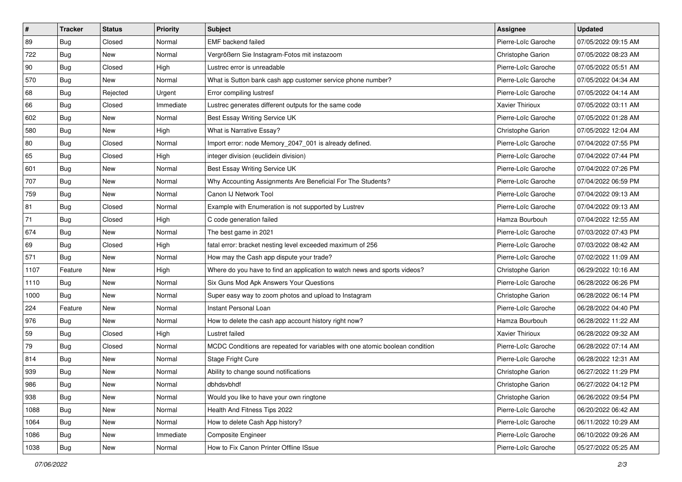| $\vert$ # | <b>Tracker</b> | <b>Status</b> | <b>Priority</b> | <b>Subject</b>                                                               | <b>Assignee</b>          | <b>Updated</b>      |
|-----------|----------------|---------------|-----------------|------------------------------------------------------------------------------|--------------------------|---------------------|
| 89        | Bug            | Closed        | Normal          | <b>EMF</b> backend failed                                                    | Pierre-Loïc Garoche      | 07/05/2022 09:15 AM |
| 722       | Bug            | <b>New</b>    | Normal          | Vergrößern Sie Instagram-Fotos mit instazoom                                 | <b>Christophe Garion</b> | 07/05/2022 08:23 AM |
| 90        | Bug            | Closed        | High            | Lustrec error is unreadable                                                  | Pierre-Loïc Garoche      | 07/05/2022 05:51 AM |
| 570       | Bug            | <b>New</b>    | Normal          | What is Sutton bank cash app customer service phone number?                  | Pierre-Loïc Garoche      | 07/05/2022 04:34 AM |
| 68        | Bug            | Rejected      | Urgent          | Error compiling lustresf                                                     | Pierre-Loïc Garoche      | 07/05/2022 04:14 AM |
| 66        | <b>Bug</b>     | Closed        | Immediate       | Lustrec generates different outputs for the same code                        | Xavier Thirioux          | 07/05/2022 03:11 AM |
| 602       | Bug            | New           | Normal          | Best Essay Writing Service UK                                                | Pierre-Loïc Garoche      | 07/05/2022 01:28 AM |
| 580       | Bug            | New           | High            | What is Narrative Essay?                                                     | <b>Christophe Garion</b> | 07/05/2022 12:04 AM |
| 80        | Bug            | Closed        | Normal          | Import error: node Memory_2047_001 is already defined.                       | Pierre-Loïc Garoche      | 07/04/2022 07:55 PM |
| 65        | <b>Bug</b>     | Closed        | High            | integer division (euclidein division)                                        | Pierre-Loïc Garoche      | 07/04/2022 07:44 PM |
| 601       | Bug            | New           | Normal          | Best Essay Writing Service UK                                                | Pierre-Loïc Garoche      | 07/04/2022 07:26 PM |
| 707       | Bug            | New           | Normal          | Why Accounting Assignments Are Beneficial For The Students?                  | Pierre-Loïc Garoche      | 07/04/2022 06:59 PM |
| 759       | <b>Bug</b>     | <b>New</b>    | Normal          | Canon IJ Network Tool                                                        | Pierre-Loïc Garoche      | 07/04/2022 09:13 AM |
| 81        | Bug            | Closed        | Normal          | Example with Enumeration is not supported by Lustrev                         | Pierre-Loïc Garoche      | 07/04/2022 09:13 AM |
| 71        | Bug            | Closed        | High            | C code generation failed                                                     | Hamza Bourbouh           | 07/04/2022 12:55 AM |
| 674       | Bug            | New           | Normal          | The best game in 2021                                                        | Pierre-Loïc Garoche      | 07/03/2022 07:43 PM |
| 69        | Bug            | Closed        | High            | fatal error: bracket nesting level exceeded maximum of 256                   | Pierre-Loïc Garoche      | 07/03/2022 08:42 AM |
| 571       | Bug            | <b>New</b>    | Normal          | How may the Cash app dispute your trade?                                     | Pierre-Loïc Garoche      | 07/02/2022 11:09 AM |
| 1107      | Feature        | New           | High            | Where do you have to find an application to watch news and sports videos?    | Christophe Garion        | 06/29/2022 10:16 AM |
| 1110      | Bug            | New           | Normal          | Six Guns Mod Apk Answers Your Questions                                      | Pierre-Loïc Garoche      | 06/28/2022 06:26 PM |
| 1000      | Bug            | New           | Normal          | Super easy way to zoom photos and upload to Instagram                        | Christophe Garion        | 06/28/2022 06:14 PM |
| 224       | Feature        | <b>New</b>    | Normal          | Instant Personal Loan                                                        | Pierre-Loïc Garoche      | 06/28/2022 04:40 PM |
| 976       | Bug            | <b>New</b>    | Normal          | How to delete the cash app account history right now?                        | Hamza Bourbouh           | 06/28/2022 11:22 AM |
| 59        | Bug            | Closed        | High            | Lustret failed                                                               | Xavier Thirioux          | 06/28/2022 09:32 AM |
| 79        | Bug            | Closed        | Normal          | MCDC Conditions are repeated for variables with one atomic boolean condition | Pierre-Loïc Garoche      | 06/28/2022 07:14 AM |
| 814       | Bug            | <b>New</b>    | Normal          | Stage Fright Cure                                                            | Pierre-Loïc Garoche      | 06/28/2022 12:31 AM |
| 939       | Bug            | New           | Normal          | Ability to change sound notifications                                        | Christophe Garion        | 06/27/2022 11:29 PM |
| 986       | <b>Bug</b>     | New           | Normal          | dbhdsvbhdf                                                                   | Christophe Garion        | 06/27/2022 04:12 PM |
| 938       | Bug            | New           | Normal          | Would you like to have your own ringtone                                     | <b>Christophe Garion</b> | 06/26/2022 09:54 PM |
| 1088      | Bug            | New           | Normal          | Health And Fitness Tips 2022                                                 | Pierre-Loïc Garoche      | 06/20/2022 06:42 AM |
| 1064      | Bug            | New           | Normal          | How to delete Cash App history?                                              | Pierre-Loïc Garoche      | 06/11/2022 10:29 AM |
| 1086      | <b>Bug</b>     | New           | Immediate       | Composite Engineer                                                           | Pierre-Loïc Garoche      | 06/10/2022 09:26 AM |
| 1038      | <b>Bug</b>     | New           | Normal          | How to Fix Canon Printer Offline ISsue                                       | Pierre-Loïc Garoche      | 05/27/2022 05:25 AM |